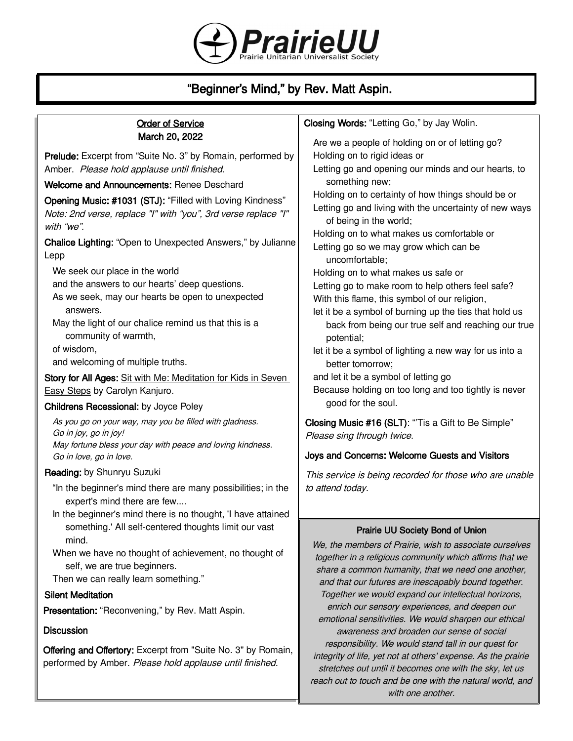

# "Beginner's Mind," by Rev. Matt Aspin.

### Order of Service March 20, 2022

Prelude: Excerpt from "Suite No. 3" by Romain, performed by Amber. Please hold applause until finished.

Welcome and Announcements: Renee Deschard

Opening Music: #1031 (STJ): "Filled with Loving Kindness" Note: 2nd verse, replace "I" with "you", 3rd verse replace "I" with "we".

Chalice Lighting: "Open to Unexpected Answers," by Julianne Lepp

We seek our place in the world

and the answers to our hearts' deep questions.

- As we seek, may our hearts be open to unexpected answers.
- May the light of our chalice remind us that this is a community of warmth,

of wisdom,

and welcoming of multiple truths.

Story for All Ages: Sit with Me: Meditation for Kids in Seven Easy Steps by Carolyn Kanjuro.

#### Childrens Recessional: by Joyce Poley

As you go on your way, may you be filled with gladness. Go in joy, go in joy! May fortune bless your day with peace and loving kindness. Go in love, go in love.

#### Reading: by Shunryu Suzuki

- "In the beginner's mind there are many possibilities; in the expert's mind there are few....
- In the beginner's mind there is no thought, 'I have attained something.' All self-centered thoughts limit our vast mind.
- When we have no thought of achievement, no thought of self, we are true beginners.

Then we can really learn something."

### Silent Meditation

Presentation: "Reconvening," by Rev. Matt Aspin.

#### **Discussion**

Offering and Offertory: Excerpt from "Suite No. 3" by Romain, performed by Amber. Please hold applause until finished.

# Closing Words: "Letting Go," by Jay Wolin.

Are we a people of holding on or of letting go? Holding on to rigid ideas or Letting go and opening our minds and our hearts, to something new; Holding on to certainty of how things should be or Letting go and living with the uncertainty of new ways of being in the world; Holding on to what makes us comfortable or Letting go so we may grow which can be uncomfortable; Holding on to what makes us safe or Letting go to make room to help others feel safe? With this flame, this symbol of our religion, let it be a symbol of burning up the ties that hold us back from being our true self and reaching our true potential; let it be a symbol of lighting a new way for us into a better tomorrow; and let it be a symbol of letting go Because holding on too long and too tightly is never good for the soul.

Closing Music #16 (SLT): "Tis a Gift to Be Simple" Please sing through twice.

#### Joys and Concerns: Welcome Guests and Visitors

This service is being recorded for those who are unable to attend today.

#### Prairie UU Society Bond of Union

We, the members of Prairie, wish to associate ourselves together in a religious community which affirms that we share a common humanity, that we need one another, and that our futures are inescapably bound together. Together we would expand our intellectual horizons, enrich our sensory experiences, and deepen our emotional sensitivities. We would sharpen our ethical awareness and broaden our sense of social responsibility. We would stand tall in our quest for integrity of life, yet not at others' expense. As the prairie stretches out until it becomes one with the sky, let us reach out to touch and be one with the natural world, and with one another.